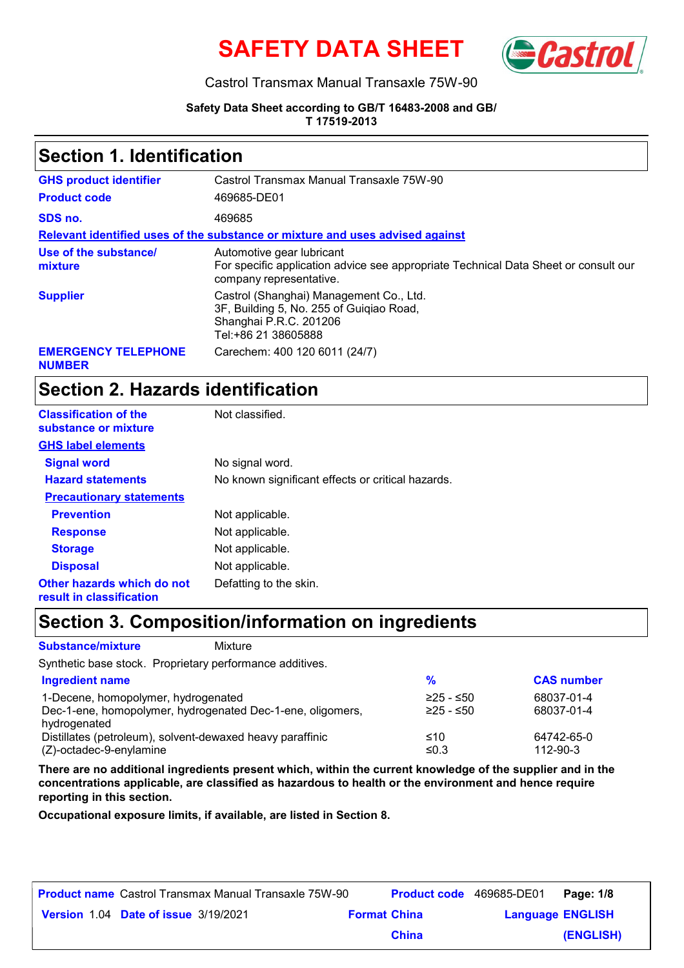



### Castrol Transmax Manual Transaxle 75W-90

#### **Safety Data Sheet according to GB/T 16483-2008 and GB/ T 17519-2013**

### **Section 1. Identification**

| <b>GHS product identifier</b>               | Castrol Transmax Manual Transaxle 75W-90                                                                                                    |
|---------------------------------------------|---------------------------------------------------------------------------------------------------------------------------------------------|
| <b>Product code</b>                         | 469685-DE01                                                                                                                                 |
| SDS no.                                     | 469685                                                                                                                                      |
|                                             | Relevant identified uses of the substance or mixture and uses advised against                                                               |
| Use of the substance/<br>mixture            | Automotive gear lubricant<br>For specific application advice see appropriate Technical Data Sheet or consult our<br>company representative. |
| <b>Supplier</b>                             | Castrol (Shanghai) Management Co., Ltd.<br>3F, Building 5, No. 255 of Guigiao Road,<br>Shanghai P.R.C. 201206<br>Tel:+86 21 38605888        |
| <b>EMERGENCY TELEPHONE</b><br><b>NUMBER</b> | Carechem: 400 120 6011 (24/7)                                                                                                               |

### **Section 2. Hazards identification**

| <b>Classification of the</b><br>substance or mixture   | Not classified.                                   |
|--------------------------------------------------------|---------------------------------------------------|
| <b>GHS label elements</b>                              |                                                   |
| <b>Signal word</b>                                     | No signal word.                                   |
| <b>Hazard statements</b>                               | No known significant effects or critical hazards. |
| <b>Precautionary statements</b>                        |                                                   |
| <b>Prevention</b>                                      | Not applicable.                                   |
| <b>Response</b>                                        | Not applicable.                                   |
| <b>Storage</b>                                         | Not applicable.                                   |
| <b>Disposal</b>                                        | Not applicable.                                   |
| Other hazards which do not<br>result in classification | Defatting to the skin.                            |

### **Section 3. Composition/information on ingredients**

Mixture

#### **Substance/mixture**

Synthetic base stock. Proprietary performance additives.

| <b>Ingredient name</b>                                     | $\frac{9}{6}$ | <b>CAS number</b> |
|------------------------------------------------------------|---------------|-------------------|
| 1-Decene, homopolymer, hydrogenated                        | $≥25 - ≤50$   | 68037-01-4        |
| Dec-1-ene, homopolymer, hydrogenated Dec-1-ene, oligomers, | $≥25 - ≤50$   | 68037-01-4        |
| hydrogenated                                               |               |                   |
| Distillates (petroleum), solvent-dewaxed heavy paraffinic  | ≤10           | 64742-65-0        |
| $(Z)$ -octadec-9-enylamine                                 | ≤0.3          | 112-90-3          |

**There are no additional ingredients present which, within the current knowledge of the supplier and in the concentrations applicable, are classified as hazardous to health or the environment and hence require reporting in this section.**

**Occupational exposure limits, if available, are listed in Section 8.**

| <b>Product name</b> Castrol Transmax Manual Transaxle 75W-90 |                     |              | <b>Product code</b> 469685-DE01 | Page: 1/8 |
|--------------------------------------------------------------|---------------------|--------------|---------------------------------|-----------|
| <b>Version 1.04 Date of issue 3/19/2021</b>                  | <b>Format China</b> |              | <b>Language ENGLISH</b>         |           |
|                                                              |                     | <b>China</b> |                                 | (ENGLISH) |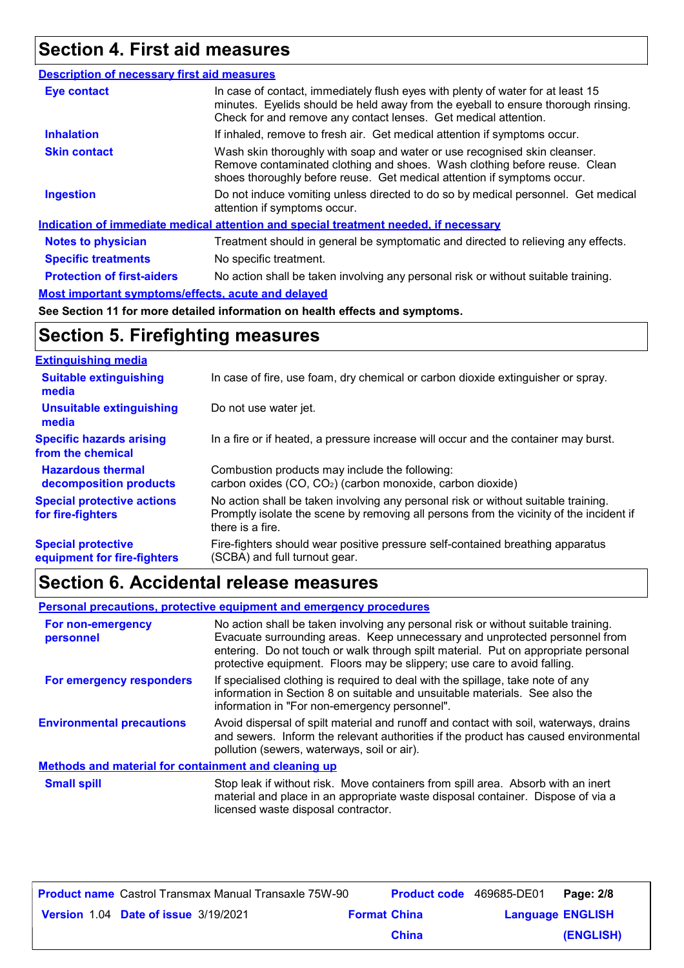# **Section 4. First aid measures**

| In case of contact, immediately flush eyes with plenty of water for at least 15<br><b>Eye contact</b><br>minutes. Eyelids should be held away from the eyeball to ensure thorough rinsing.<br>Check for and remove any contact lenses. Get medical attention.<br><b>Inhalation</b><br>If inhaled, remove to fresh air. Get medical attention if symptoms occur.<br>Wash skin thoroughly with soap and water or use recognised skin cleanser.<br><b>Skin contact</b> |
|---------------------------------------------------------------------------------------------------------------------------------------------------------------------------------------------------------------------------------------------------------------------------------------------------------------------------------------------------------------------------------------------------------------------------------------------------------------------|
|                                                                                                                                                                                                                                                                                                                                                                                                                                                                     |
|                                                                                                                                                                                                                                                                                                                                                                                                                                                                     |
| Remove contaminated clothing and shoes. Wash clothing before reuse. Clean<br>shoes thoroughly before reuse. Get medical attention if symptoms occur.                                                                                                                                                                                                                                                                                                                |
| Do not induce vomiting unless directed to do so by medical personnel. Get medical<br><b>Ingestion</b><br>attention if symptoms occur.                                                                                                                                                                                                                                                                                                                               |
| Indication of immediate medical attention and special treatment needed, if necessary                                                                                                                                                                                                                                                                                                                                                                                |
| Treatment should in general be symptomatic and directed to relieving any effects.<br><b>Notes to physician</b>                                                                                                                                                                                                                                                                                                                                                      |
| No specific treatment.<br><b>Specific treatments</b>                                                                                                                                                                                                                                                                                                                                                                                                                |
| <b>Protection of first-aiders</b><br>No action shall be taken involving any personal risk or without suitable training.                                                                                                                                                                                                                                                                                                                                             |
| <b>Most important symptoms/effects, acute and delayed</b>                                                                                                                                                                                                                                                                                                                                                                                                           |

### **See Section 11 for more detailed information on health effects and symptoms.**

## **Section 5. Firefighting measures**

| <b>Extinguishing media</b>                               |                                                                                                                                                                                                   |
|----------------------------------------------------------|---------------------------------------------------------------------------------------------------------------------------------------------------------------------------------------------------|
| <b>Suitable extinguishing</b><br>media                   | In case of fire, use foam, dry chemical or carbon dioxide extinguisher or spray.                                                                                                                  |
| <b>Unsuitable extinguishing</b><br>media                 | Do not use water jet.                                                                                                                                                                             |
| <b>Specific hazards arising</b><br>from the chemical     | In a fire or if heated, a pressure increase will occur and the container may burst.                                                                                                               |
| <b>Hazardous thermal</b><br>decomposition products       | Combustion products may include the following:<br>carbon oxides (CO, CO <sub>2</sub> ) (carbon monoxide, carbon dioxide)                                                                          |
| <b>Special protective actions</b><br>for fire-fighters   | No action shall be taken involving any personal risk or without suitable training.<br>Promptly isolate the scene by removing all persons from the vicinity of the incident if<br>there is a fire. |
| <b>Special protective</b><br>equipment for fire-fighters | Fire-fighters should wear positive pressure self-contained breathing apparatus<br>(SCBA) and full turnout gear.                                                                                   |

## **Section 6. Accidental release measures**

### **Personal precautions, protective equipment and emergency procedures**

| For non-emergency<br>personnel                              | No action shall be taken involving any personal risk or without suitable training.<br>Evacuate surrounding areas. Keep unnecessary and unprotected personnel from<br>entering. Do not touch or walk through spilt material. Put on appropriate personal<br>protective equipment. Floors may be slippery; use care to avoid falling. |
|-------------------------------------------------------------|-------------------------------------------------------------------------------------------------------------------------------------------------------------------------------------------------------------------------------------------------------------------------------------------------------------------------------------|
| For emergency responders                                    | If specialised clothing is required to deal with the spillage, take note of any<br>information in Section 8 on suitable and unsuitable materials. See also the<br>information in "For non-emergency personnel".                                                                                                                     |
| <b>Environmental precautions</b>                            | Avoid dispersal of spilt material and runoff and contact with soil, waterways, drains<br>and sewers. Inform the relevant authorities if the product has caused environmental<br>pollution (sewers, waterways, soil or air).                                                                                                         |
| <b>Methods and material for containment and cleaning up</b> |                                                                                                                                                                                                                                                                                                                                     |
| <b>Small spill</b>                                          | Stop leak if without risk. Move containers from spill area. Absorb with an inert<br>material and place in an appropriate waste disposal container. Dispose of via a<br>licensed waste disposal contractor.                                                                                                                          |

| <b>Product name</b> Castrol Transmax Manual Transaxle 75W-90 |                     |              | <b>Product code</b> 469685-DE01 | Page: 2/8 |
|--------------------------------------------------------------|---------------------|--------------|---------------------------------|-----------|
| <b>Version 1.04 Date of issue 3/19/2021</b>                  | <b>Format China</b> |              | <b>Language ENGLISH</b>         |           |
|                                                              |                     | <b>China</b> |                                 | (ENGLISH) |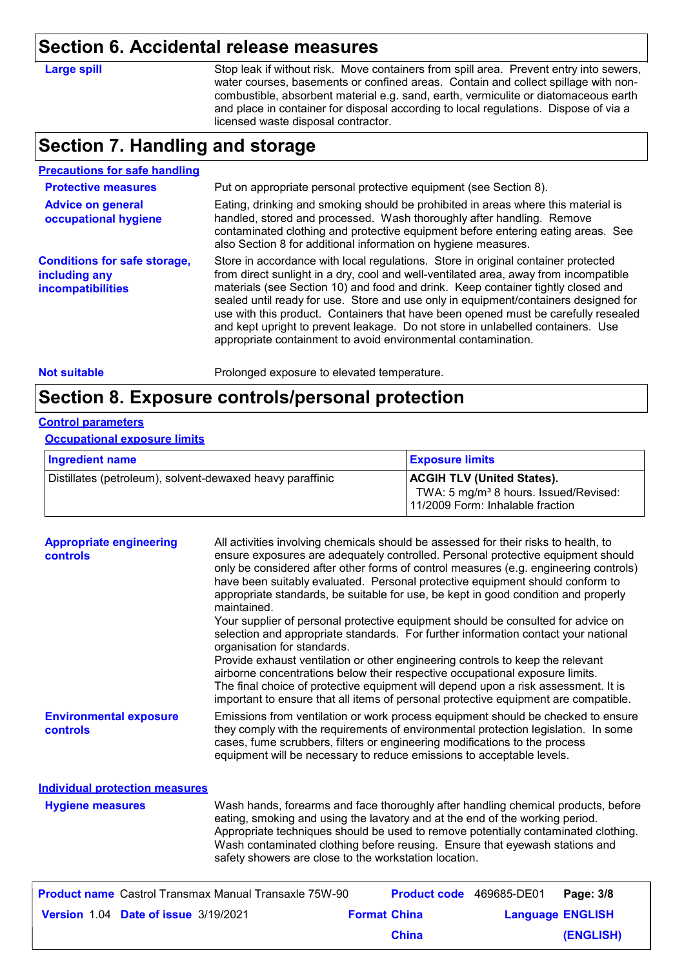## **Section 6. Accidental release measures**

| Large spill |  |  |
|-------------|--|--|
|             |  |  |

Stop leak if without risk. Move containers from spill area. Prevent entry into sewers, water courses, basements or confined areas. Contain and collect spillage with noncombustible, absorbent material e.g. sand, earth, vermiculite or diatomaceous earth and place in container for disposal according to local regulations. Dispose of via a licensed waste disposal contractor.

### **Section 7. Handling and storage**

### **Precautions for safe handling**

| <b>Protective measures</b>                                                       | Put on appropriate personal protective equipment (see Section 8).                                                                                                                                                                                                                                                                                                                                                                                                                                                                                                                              |
|----------------------------------------------------------------------------------|------------------------------------------------------------------------------------------------------------------------------------------------------------------------------------------------------------------------------------------------------------------------------------------------------------------------------------------------------------------------------------------------------------------------------------------------------------------------------------------------------------------------------------------------------------------------------------------------|
| <b>Advice on general</b><br>occupational hygiene                                 | Eating, drinking and smoking should be prohibited in areas where this material is<br>handled, stored and processed. Wash thoroughly after handling. Remove<br>contaminated clothing and protective equipment before entering eating areas. See<br>also Section 8 for additional information on hygiene measures.                                                                                                                                                                                                                                                                               |
| <b>Conditions for safe storage,</b><br>including any<br><b>incompatibilities</b> | Store in accordance with local regulations. Store in original container protected<br>from direct sunlight in a dry, cool and well-ventilated area, away from incompatible<br>materials (see Section 10) and food and drink. Keep container tightly closed and<br>sealed until ready for use. Store and use only in equipment/containers designed for<br>use with this product. Containers that have been opened must be carefully resealed<br>and kept upright to prevent leakage. Do not store in unlabelled containers. Use<br>appropriate containment to avoid environmental contamination. |

#### **Not suitable Not suitable** Prolonged exposure to elevated temperature.

### **Section 8. Exposure controls/personal protection**

### **Control parameters**

#### **Occupational exposure limits**

| <b>Ingredient name</b>                                    | <b>Exposure limits</b>                                                                                                     |
|-----------------------------------------------------------|----------------------------------------------------------------------------------------------------------------------------|
| Distillates (petroleum), solvent-dewaxed heavy paraffinic | <b>ACGIH TLV (United States).</b><br>TWA: 5 mg/m <sup>3</sup> 8 hours. Issued/Revised:<br>11/2009 Form: Inhalable fraction |

| <b>Appropriate engineering</b><br><b>controls</b> | All activities involving chemicals should be assessed for their risks to health, to<br>ensure exposures are adequately controlled. Personal protective equipment should<br>only be considered after other forms of control measures (e.g. engineering controls)<br>have been suitably evaluated. Personal protective equipment should conform to<br>appropriate standards, be suitable for use, be kept in good condition and properly<br>maintained.<br>Your supplier of personal protective equipment should be consulted for advice on<br>selection and appropriate standards. For further information contact your national<br>organisation for standards.<br>Provide exhaust ventilation or other engineering controls to keep the relevant<br>airborne concentrations below their respective occupational exposure limits.<br>The final choice of protective equipment will depend upon a risk assessment. It is<br>important to ensure that all items of personal protective equipment are compatible. |
|---------------------------------------------------|---------------------------------------------------------------------------------------------------------------------------------------------------------------------------------------------------------------------------------------------------------------------------------------------------------------------------------------------------------------------------------------------------------------------------------------------------------------------------------------------------------------------------------------------------------------------------------------------------------------------------------------------------------------------------------------------------------------------------------------------------------------------------------------------------------------------------------------------------------------------------------------------------------------------------------------------------------------------------------------------------------------|
| <b>Environmental exposure</b><br>controls         | Emissions from ventilation or work process equipment should be checked to ensure<br>they comply with the requirements of environmental protection legislation. In some<br>cases, fume scrubbers, filters or engineering modifications to the process<br>equipment will be necessary to reduce emissions to acceptable levels.                                                                                                                                                                                                                                                                                                                                                                                                                                                                                                                                                                                                                                                                                 |
| <b>Individual protection measures</b>             |                                                                                                                                                                                                                                                                                                                                                                                                                                                                                                                                                                                                                                                                                                                                                                                                                                                                                                                                                                                                               |
| <b>Hygiene measures</b>                           | Wash hands, forearms and face thoroughly after handling chemical products, before<br>eating, smoking and using the lavatory and at the end of the working period.<br>Appropriate techniques should be used to remove potentially contaminated clothing.<br>Wash contaminated clothing before reusing. Ensure that eyewash stations and<br>safety showers are close to the workstation location.                                                                                                                                                                                                                                                                                                                                                                                                                                                                                                                                                                                                               |

|                                             | <b>Product name</b> Castrol Transmax Manual Transaxle 75W-90 |                     | <b>Product code</b> 469685-DE01 |                         | Page: 3/8 |
|---------------------------------------------|--------------------------------------------------------------|---------------------|---------------------------------|-------------------------|-----------|
| <b>Version 1.04 Date of issue 3/19/2021</b> |                                                              | <b>Format China</b> |                                 | <b>Language ENGLISH</b> |           |
|                                             |                                                              |                     | <b>China</b>                    |                         | (ENGLISH) |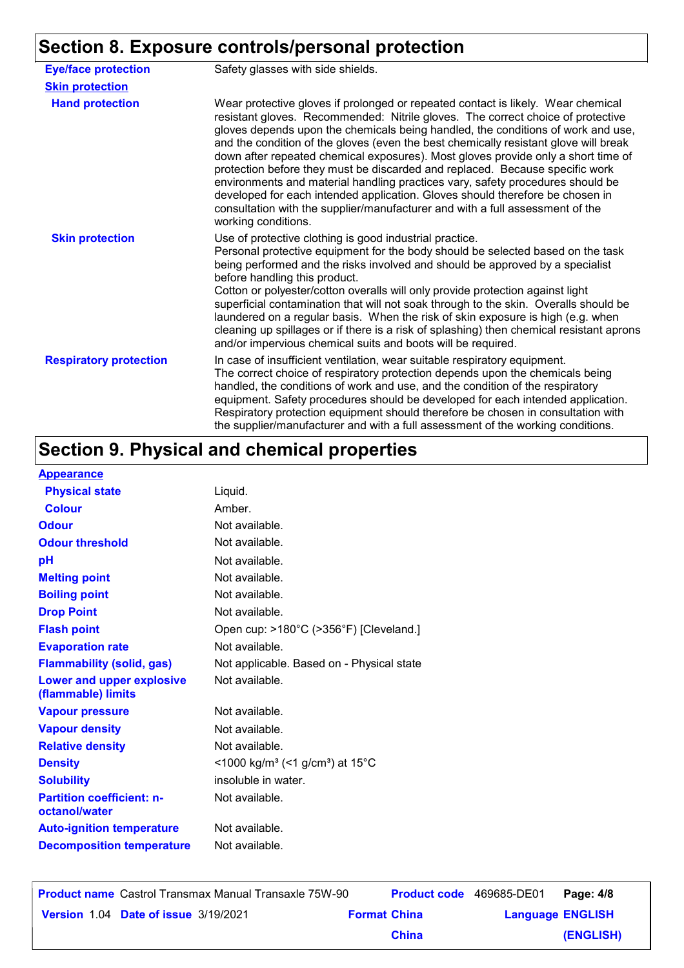# **Section 8. Exposure controls/personal protection**

| <b>Eye/face protection</b>    | Safety glasses with side shields.                                                                                                                                                                                                                                                                                                                                                                                                                                                                                                                                                                                                                                                                                                                                                               |  |  |
|-------------------------------|-------------------------------------------------------------------------------------------------------------------------------------------------------------------------------------------------------------------------------------------------------------------------------------------------------------------------------------------------------------------------------------------------------------------------------------------------------------------------------------------------------------------------------------------------------------------------------------------------------------------------------------------------------------------------------------------------------------------------------------------------------------------------------------------------|--|--|
| <b>Skin protection</b>        |                                                                                                                                                                                                                                                                                                                                                                                                                                                                                                                                                                                                                                                                                                                                                                                                 |  |  |
| <b>Hand protection</b>        | Wear protective gloves if prolonged or repeated contact is likely. Wear chemical<br>resistant gloves. Recommended: Nitrile gloves. The correct choice of protective<br>gloves depends upon the chemicals being handled, the conditions of work and use,<br>and the condition of the gloves (even the best chemically resistant glove will break<br>down after repeated chemical exposures). Most gloves provide only a short time of<br>protection before they must be discarded and replaced. Because specific work<br>environments and material handling practices vary, safety procedures should be<br>developed for each intended application. Gloves should therefore be chosen in<br>consultation with the supplier/manufacturer and with a full assessment of the<br>working conditions. |  |  |
| <b>Skin protection</b>        | Use of protective clothing is good industrial practice.<br>Personal protective equipment for the body should be selected based on the task<br>being performed and the risks involved and should be approved by a specialist<br>before handling this product.<br>Cotton or polyester/cotton overalls will only provide protection against light<br>superficial contamination that will not soak through to the skin. Overalls should be<br>laundered on a regular basis. When the risk of skin exposure is high (e.g. when<br>cleaning up spillages or if there is a risk of splashing) then chemical resistant aprons<br>and/or impervious chemical suits and boots will be required.                                                                                                           |  |  |
| <b>Respiratory protection</b> | In case of insufficient ventilation, wear suitable respiratory equipment.<br>The correct choice of respiratory protection depends upon the chemicals being<br>handled, the conditions of work and use, and the condition of the respiratory<br>equipment. Safety procedures should be developed for each intended application.<br>Respiratory protection equipment should therefore be chosen in consultation with<br>the supplier/manufacturer and with a full assessment of the working conditions.                                                                                                                                                                                                                                                                                           |  |  |

# **Section 9. Physical and chemical properties**

### **Appearance**

| <u>Appearance</u>                                 |                                                         |
|---------------------------------------------------|---------------------------------------------------------|
| <b>Physical state</b>                             | Liquid.                                                 |
| <b>Colour</b>                                     | Amber.                                                  |
| <b>Odour</b>                                      | Not available.                                          |
| <b>Odour threshold</b>                            | Not available.                                          |
| pH                                                | Not available.                                          |
| <b>Melting point</b>                              | Not available.                                          |
| <b>Boiling point</b>                              | Not available.                                          |
| <b>Drop Point</b>                                 | Not available.                                          |
| <b>Flash point</b>                                | Open cup: >180°C (>356°F) [Cleveland.]                  |
| <b>Evaporation rate</b>                           | Not available.                                          |
| <b>Flammability (solid, gas)</b>                  | Not applicable. Based on - Physical state               |
| Lower and upper explosive<br>(flammable) limits   | Not available.                                          |
| <b>Vapour pressure</b>                            | Not available.                                          |
| <b>Vapour density</b>                             | Not available.                                          |
| <b>Relative density</b>                           | Not available.                                          |
| <b>Density</b>                                    | <1000 kg/m <sup>3</sup> (<1 g/cm <sup>3</sup> ) at 15°C |
| <b>Solubility</b>                                 | insoluble in water.                                     |
| <b>Partition coefficient: n-</b><br>octanol/water | Not available.                                          |
| <b>Auto-ignition temperature</b>                  | Not available.                                          |
| <b>Decomposition temperature</b>                  | Not available.                                          |
|                                                   |                                                         |

**Date of issue Version** 1.04 **Format China Language** 3/19/2021**Product name** Castrol Transmax Manual Transaxle 75W-90 **Product code** 469685-DE01 **Page: 4/8** | **Language ENGLISH (ENGLISH)** Product code 469685-DE01 Page: 4/8 **China**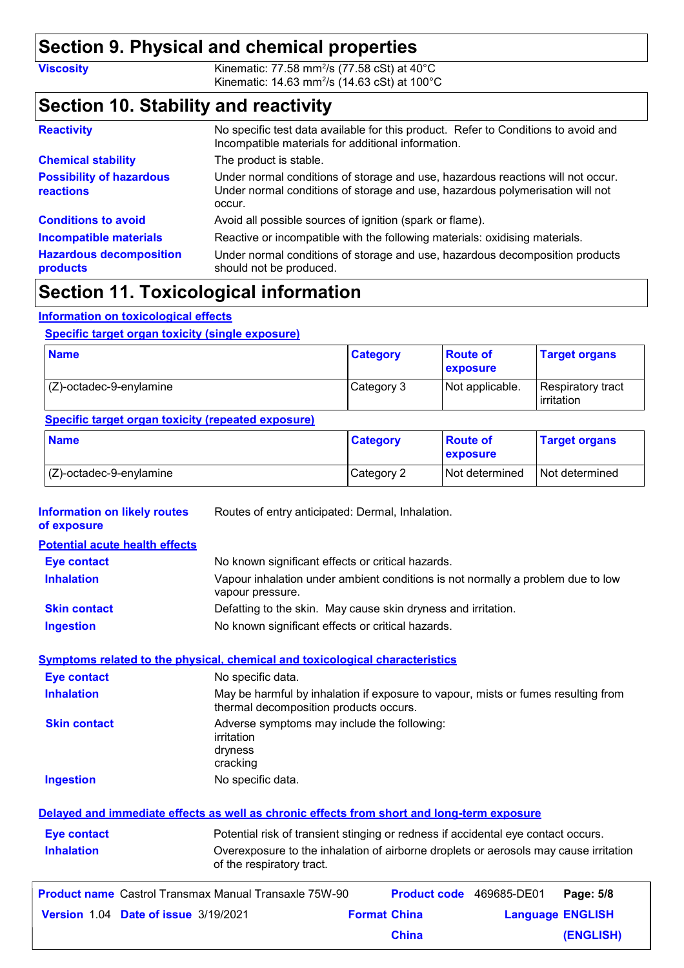## **Section 9. Physical and chemical properties**

**Viscosity Kinematic: 77.58 mm<sup>2</sup>/s (77.58 cSt) at 40°C** Kinematic: 14.63 mm<sup>2</sup>/s (14.63 cSt) at 100°C

## **Section 10. Stability and reactivity**

| <b>Reactivity</b>                            | No specific test data available for this product. Refer to Conditions to avoid and<br>Incompatible materials for additional information.                                   |
|----------------------------------------------|----------------------------------------------------------------------------------------------------------------------------------------------------------------------------|
| <b>Chemical stability</b>                    | The product is stable.                                                                                                                                                     |
| <b>Possibility of hazardous</b><br>reactions | Under normal conditions of storage and use, hazardous reactions will not occur.<br>Under normal conditions of storage and use, hazardous polymerisation will not<br>occur. |
| <b>Conditions to avoid</b>                   | Avoid all possible sources of ignition (spark or flame).                                                                                                                   |
| <b>Incompatible materials</b>                | Reactive or incompatible with the following materials: oxidising materials.                                                                                                |
| <b>Hazardous decomposition</b><br>products   | Under normal conditions of storage and use, hazardous decomposition products<br>should not be produced.                                                                    |

## **Section 11. Toxicological information**

### **Information on toxicological effects**

### **Specific target organ toxicity (single exposure)**

| <b>Name</b>                | <b>Category</b> | <b>Route of</b><br><b>exposure</b> | <b>Target organs</b>            |
|----------------------------|-----------------|------------------------------------|---------------------------------|
| $(C)$ -octadec-9-enylamine | Category 3      | Not applicable.                    | Respiratory tract<br>irritation |

### **Specific target organ toxicity (repeated exposure)**

| <b>Name</b>                | <b>Category</b> | ∣ Route of<br><b>exposure</b> | <b>Target organs</b> |
|----------------------------|-----------------|-------------------------------|----------------------|
| $(Z)$ -octadec-9-enylamine | Category 2      | <b>Not determined</b>         | Not determined       |

| vapour pressure.                                                                                                            | Vapour inhalation under ambient conditions is not normally a problem due to low                      |                                                                                                                                                                                                                                                                                                                         |                                                                                                                                                                                                                                                                                                                                                                      |
|-----------------------------------------------------------------------------------------------------------------------------|------------------------------------------------------------------------------------------------------|-------------------------------------------------------------------------------------------------------------------------------------------------------------------------------------------------------------------------------------------------------------------------------------------------------------------------|----------------------------------------------------------------------------------------------------------------------------------------------------------------------------------------------------------------------------------------------------------------------------------------------------------------------------------------------------------------------|
|                                                                                                                             |                                                                                                      |                                                                                                                                                                                                                                                                                                                         |                                                                                                                                                                                                                                                                                                                                                                      |
|                                                                                                                             |                                                                                                      |                                                                                                                                                                                                                                                                                                                         |                                                                                                                                                                                                                                                                                                                                                                      |
|                                                                                                                             |                                                                                                      |                                                                                                                                                                                                                                                                                                                         |                                                                                                                                                                                                                                                                                                                                                                      |
| No specific data.                                                                                                           |                                                                                                      |                                                                                                                                                                                                                                                                                                                         |                                                                                                                                                                                                                                                                                                                                                                      |
| May be harmful by inhalation if exposure to vapour, mists or fumes resulting from<br>thermal decomposition products occurs. |                                                                                                      |                                                                                                                                                                                                                                                                                                                         |                                                                                                                                                                                                                                                                                                                                                                      |
| irritation<br>dryness<br>cracking                                                                                           |                                                                                                      |                                                                                                                                                                                                                                                                                                                         |                                                                                                                                                                                                                                                                                                                                                                      |
| No specific data.                                                                                                           |                                                                                                      |                                                                                                                                                                                                                                                                                                                         |                                                                                                                                                                                                                                                                                                                                                                      |
|                                                                                                                             |                                                                                                      |                                                                                                                                                                                                                                                                                                                         |                                                                                                                                                                                                                                                                                                                                                                      |
|                                                                                                                             |                                                                                                      |                                                                                                                                                                                                                                                                                                                         |                                                                                                                                                                                                                                                                                                                                                                      |
| of the respiratory tract.                                                                                                   |                                                                                                      |                                                                                                                                                                                                                                                                                                                         |                                                                                                                                                                                                                                                                                                                                                                      |
|                                                                                                                             |                                                                                                      |                                                                                                                                                                                                                                                                                                                         | Page: 5/8                                                                                                                                                                                                                                                                                                                                                            |
|                                                                                                                             |                                                                                                      |                                                                                                                                                                                                                                                                                                                         | <b>Language ENGLISH</b>                                                                                                                                                                                                                                                                                                                                              |
|                                                                                                                             | <b>China</b>                                                                                         |                                                                                                                                                                                                                                                                                                                         | (ENGLISH)                                                                                                                                                                                                                                                                                                                                                            |
|                                                                                                                             | <b>Product name</b> Castrol Transmax Manual Transaxle 75W-90<br>Version 1.04 Date of issue 3/19/2021 | Routes of entry anticipated: Dermal, Inhalation.<br>No known significant effects or critical hazards.<br>No known significant effects or critical hazards.<br><b>Symptoms related to the physical, chemical and toxicological characteristics</b><br>Adverse symptoms may include the following:<br><b>Format China</b> | Defatting to the skin. May cause skin dryness and irritation.<br>Delayed and immediate effects as well as chronic effects from short and long-term exposure<br>Potential risk of transient stinging or redness if accidental eye contact occurs.<br>Overexposure to the inhalation of airborne droplets or aerosols may cause irritation<br>Product code 469685-DE01 |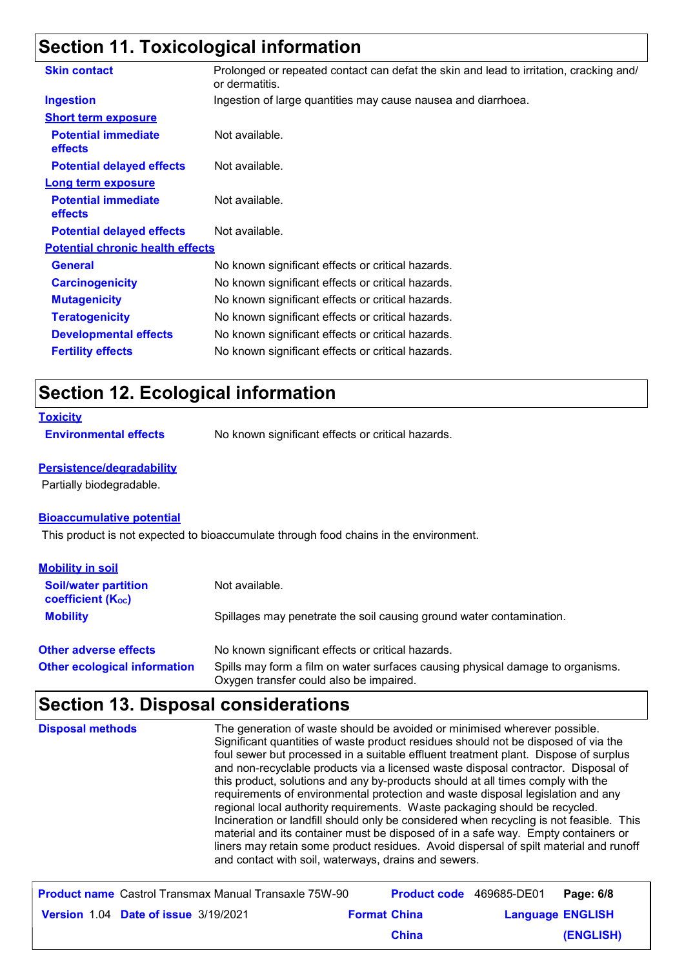# **Section 11. Toxicological information**

| <b>Skin contact</b>                          | Prolonged or repeated contact can defat the skin and lead to irritation, cracking and/<br>or dermatitis. |
|----------------------------------------------|----------------------------------------------------------------------------------------------------------|
| <b>Ingestion</b>                             | Ingestion of large quantities may cause nausea and diarrhoea.                                            |
| <b>Short term exposure</b>                   |                                                                                                          |
| <b>Potential immediate</b><br><b>effects</b> | Not available.                                                                                           |
| <b>Potential delayed effects</b>             | Not available.                                                                                           |
| <b>Long term exposure</b>                    |                                                                                                          |
| <b>Potential immediate</b><br><b>effects</b> | Not available.                                                                                           |
| <b>Potential delayed effects</b>             | Not available.                                                                                           |
| <b>Potential chronic health effects</b>      |                                                                                                          |
| <b>General</b>                               | No known significant effects or critical hazards.                                                        |
| <b>Carcinogenicity</b>                       | No known significant effects or critical hazards.                                                        |
| <b>Mutagenicity</b>                          | No known significant effects or critical hazards.                                                        |
| <b>Teratogenicity</b>                        | No known significant effects or critical hazards.                                                        |
| <b>Developmental effects</b>                 | No known significant effects or critical hazards.                                                        |
| <b>Fertility effects</b>                     | No known significant effects or critical hazards.                                                        |
|                                              |                                                                                                          |

## **Section 12. Ecological information**

**Environmental effects** No known significant effects or critical hazards.

#### **Persistence/degradability**

Partially biodegradable.

### **Bioaccumulative potential**

This product is not expected to bioaccumulate through food chains in the environment.

| <b>Mobility in soil</b>                                 |                                                                                                                           |
|---------------------------------------------------------|---------------------------------------------------------------------------------------------------------------------------|
| <b>Soil/water partition</b><br><b>coefficient (Koc)</b> | Not available.                                                                                                            |
| <b>Mobility</b>                                         | Spillages may penetrate the soil causing ground water contamination.                                                      |
| <b>Other adverse effects</b>                            | No known significant effects or critical hazards.                                                                         |
| <b>Other ecological information</b>                     | Spills may form a film on water surfaces causing physical damage to organisms.<br>Oxygen transfer could also be impaired. |

# **Section 13. Disposal considerations**

|  | Significant quantities of waste product residues should not be disposed of via the<br>foul sewer but processed in a suitable effluent treatment plant. Dispose of surplus<br>and non-recyclable products via a licensed waste disposal contractor. Disposal of<br>this product, solutions and any by-products should at all times comply with the<br>requirements of environmental protection and waste disposal legislation and any<br>regional local authority requirements. Waste packaging should be recycled.<br>Incineration or landfill should only be considered when recycling is not feasible. This<br>material and its container must be disposed of in a safe way. Empty containers or<br>liners may retain some product residues. Avoid dispersal of spilt material and runoff<br>and contact with soil, waterways, drains and sewers. |
|--|-----------------------------------------------------------------------------------------------------------------------------------------------------------------------------------------------------------------------------------------------------------------------------------------------------------------------------------------------------------------------------------------------------------------------------------------------------------------------------------------------------------------------------------------------------------------------------------------------------------------------------------------------------------------------------------------------------------------------------------------------------------------------------------------------------------------------------------------------------|
|--|-----------------------------------------------------------------------------------------------------------------------------------------------------------------------------------------------------------------------------------------------------------------------------------------------------------------------------------------------------------------------------------------------------------------------------------------------------------------------------------------------------------------------------------------------------------------------------------------------------------------------------------------------------------------------------------------------------------------------------------------------------------------------------------------------------------------------------------------------------|

| <b>Product name</b> Castrol Transmax Manual Transaxle 75W-90 |                     | <b>Product code</b> 469685-DE01 | Page: 6/8 |
|--------------------------------------------------------------|---------------------|---------------------------------|-----------|
| <b>Version 1.04 Date of issue 3/19/2021</b>                  | <b>Format China</b> | <b>Language ENGLISH</b>         |           |
|                                                              | <b>China</b>        |                                 | (ENGLISH) |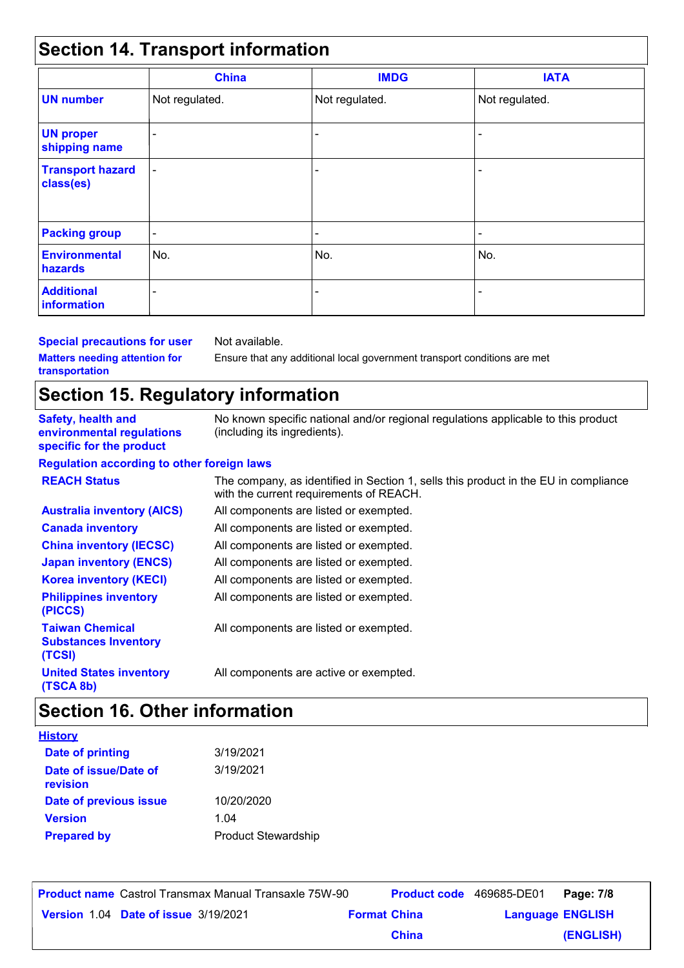# **Section 14. Transport information**

|                                      | <b>China</b>             | <b>IMDG</b>              | <b>IATA</b>              |
|--------------------------------------|--------------------------|--------------------------|--------------------------|
| <b>UN number</b>                     | Not regulated.           | Not regulated.           | Not regulated.           |
| <b>UN proper</b><br>shipping name    | $\overline{\phantom{a}}$ | $\overline{\phantom{a}}$ | $\overline{\phantom{a}}$ |
| <b>Transport hazard</b><br>class(es) | $\overline{\phantom{a}}$ | $\overline{\phantom{a}}$ | $\overline{\phantom{a}}$ |
| <b>Packing group</b>                 | $\overline{\phantom{a}}$ | $\overline{\phantom{a}}$ | $\overline{\phantom{a}}$ |
| <b>Environmental</b><br>hazards      | No.                      | No.                      | No.                      |
| <b>Additional</b><br>information     |                          | $\overline{\phantom{a}}$ | $\overline{\phantom{a}}$ |

**Special precautions for user Matters needing attention for transportation**

Not available.

Ensure that any additional local government transport conditions are met

## **Section 15. Regulatory information**

| <b>Safety, health and</b><br>environmental regulations<br>specific for the product | No known specific national and/or regional regulations applicable to this product<br>(including its ingredients).              |
|------------------------------------------------------------------------------------|--------------------------------------------------------------------------------------------------------------------------------|
| <b>Regulation according to other foreign laws</b>                                  |                                                                                                                                |
| <b>REACH Status</b>                                                                | The company, as identified in Section 1, sells this product in the EU in compliance<br>with the current requirements of REACH. |
| <b>Australia inventory (AICS)</b>                                                  | All components are listed or exempted.                                                                                         |
| <b>Canada inventory</b>                                                            | All components are listed or exempted.                                                                                         |
| <b>China inventory (IECSC)</b>                                                     | All components are listed or exempted.                                                                                         |
| <b>Japan inventory (ENCS)</b>                                                      | All components are listed or exempted.                                                                                         |
| <b>Korea inventory (KECI)</b>                                                      | All components are listed or exempted.                                                                                         |
| <b>Philippines inventory</b><br>(PICCS)                                            | All components are listed or exempted.                                                                                         |
| <b>Taiwan Chemical</b><br><b>Substances Inventory</b><br>(TCSI)                    | All components are listed or exempted.                                                                                         |
| <b>United States inventory</b><br>(TSCA 8b)                                        | All components are active or exempted.                                                                                         |

# **Section 16. Other information**

| <b>History</b>                    |                            |
|-----------------------------------|----------------------------|
| Date of printing                  | 3/19/2021                  |
| Date of issue/Date of<br>revision | 3/19/2021                  |
| Date of previous issue            | 10/20/2020                 |
| <b>Version</b>                    | 1.04                       |
| <b>Prepared by</b>                | <b>Product Stewardship</b> |

| <b>Product name</b> Castrol Transmax Manual Transaxle 75W-90 |                     | <b>Product code</b> 469685-DE01 |                         | Page: 7/8 |
|--------------------------------------------------------------|---------------------|---------------------------------|-------------------------|-----------|
| Version 1.04 Date of issue 3/19/2021                         | <b>Format China</b> |                                 | <b>Language ENGLISH</b> |           |
|                                                              |                     | <b>China</b>                    |                         | (ENGLISH) |